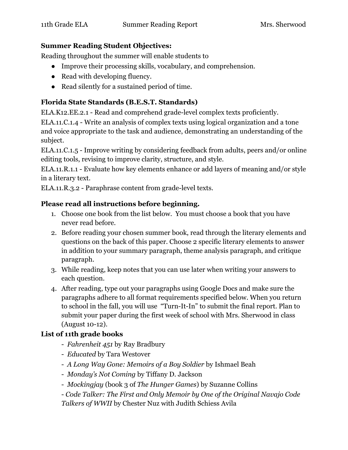#### **Summer Reading Student Objectives:**

Reading throughout the summer will enable students to

- Improve their processing skills, vocabulary, and comprehension.
- Read with developing fluency.
- Read silently for a sustained period of time.

### **Florida State Standards (B.E.S.T. Standards)**

ELA.K12.EE.2.1 - Read and comprehend grade-level complex texts proficiently.

ELA.11.C.1.4 - Write an analysis of complex texts using logical organization and a tone and voice appropriate to the task and audience, demonstrating an understanding of the subject.

ELA.11.C.1.5 - Improve writing by considering feedback from adults, peers and/or online editing tools, revising to improve clarity, structure, and style.

ELA.11.R.1.1 - Evaluate how key elements enhance or add layers of meaning and/or style in a literary text.

ELA.11.R.3.2 - Paraphrase content from grade-level texts.

#### **Please read all instructions before beginning.**

- 1. Choose one book from the list below. You must choose a book that you have never read before.
- 2. Before reading your chosen summer book, read through the literary elements and questions on the back of this paper. Choose 2 specific literary elements to answer in addition to your summary paragraph, theme analysis paragraph, and critique paragraph.
- 3. While reading, keep notes that you can use later when writing your answers to each question.
- 4. After reading, type out your paragraphs using Google Docs and make sure the paragraphs adhere to all format requirements specified below. When you return to school in the fall, you will use "Turn-It-In" to submit the final report. Plan to submit your paper during the first week of school with Mrs. Sherwood in class (August 10-12).

## **List of 11th grade books**

- *Fahrenheit 451* by Ray Bradbury
- *Educated* by Tara Westover
- *A Long Way Gone: Memoirs of a Boy Soldier* by Ishmael Beah
- *Monday's Not Coming* by Tiffany D. Jackson
- *Mockingjay* (book 3 of *The Hunger Games*) by Suzanne Collins

- *Code Talker: The First and Only Memoir by One of the Original Navajo Code Talkers of WWII* by Chester Nuz with Judith Schiess Avila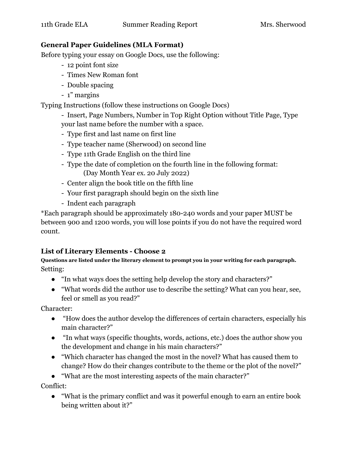#### **General Paper Guidelines (MLA Format)**

Before typing your essay on Google Docs, use the following:

- 12 point font size
- Times New Roman font
- Double spacing
- 1" margins

Typing Instructions (follow these instructions on Google Docs)

- Insert, Page Numbers, Number in Top Right Option without Title Page, Type your last name before the number with a space.

- Type first and last name on first line
- Type teacher name (Sherwood) on second line
- Type 11th Grade English on the third line
- Type the date of completion on the fourth line in the following format: (Day Month Year ex. 20 July 2022)
- Center align the book title on the fifth line
- Your first paragraph should begin on the sixth line
- Indent each paragraph

\*Each paragraph should be approximately 180-240 words and your paper MUST be between 900 and 1200 words, you will lose points if you do not have the required word count.

## **List of Literary Elements - Choose 2**

**Questions are listed under the literary element to prompt you in your writing for each paragraph.** Setting:

- "In what ways does the setting help develop the story and characters?"
- "What words did the author use to describe the setting? What can you hear, see, feel or smell as you read?"

Character:

- "How does the author develop the differences of certain characters, especially his main character?"
- "In what ways (specific thoughts, words, actions, etc.) does the author show you the development and change in his main characters?"
- "Which character has changed the most in the novel? What has caused them to change? How do their changes contribute to the theme or the plot of the novel?"

● "What are the most interesting aspects of the main character?"

Conflict:

● "What is the primary conflict and was it powerful enough to earn an entire book being written about it?"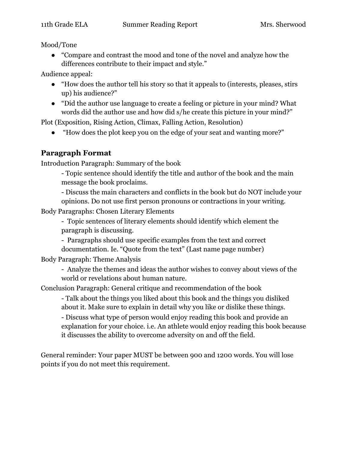Mood/Tone

● "Compare and contrast the mood and tone of the novel and analyze how the differences contribute to their impact and style."

Audience appeal:

- "How does the author tell his story so that it appeals to (interests, pleases, stirs up) his audience?"
- "Did the author use language to create a feeling or picture in your mind? What words did the author use and how did s/he create this picture in your mind?"

Plot (Exposition, Rising Action, Climax, Falling Action, Resolution)

"How does the plot keep you on the edge of your seat and wanting more?"

# **Paragraph Format**

Introduction Paragraph: Summary of the book

- Topic sentence should identify the title and author of the book and the main message the book proclaims.

- Discuss the main characters and conflicts in the book but do NOT include your opinions. Do not use first person pronouns or contractions in your writing.

Body Paragraphs: Chosen Literary Elements

- Topic sentences of literary elements should identify which element the paragraph is discussing.

- Paragraphs should use specific examples from the text and correct documentation. Ie. "Quote from the text" (Last name page number)

Body Paragraph: Theme Analysis

- Analyze the themes and ideas the author wishes to convey about views of the world or revelations about human nature.

Conclusion Paragraph: General critique and recommendation of the book

- Talk about the things you liked about this book and the things you disliked about it. Make sure to explain in detail why you like or dislike these things.

- Discuss what type of person would enjoy reading this book and provide an explanation for your choice. i.e. An athlete would enjoy reading this book because it discusses the ability to overcome adversity on and off the field.

General reminder: Your paper MUST be between 900 and 1200 words. You will lose points if you do not meet this requirement.